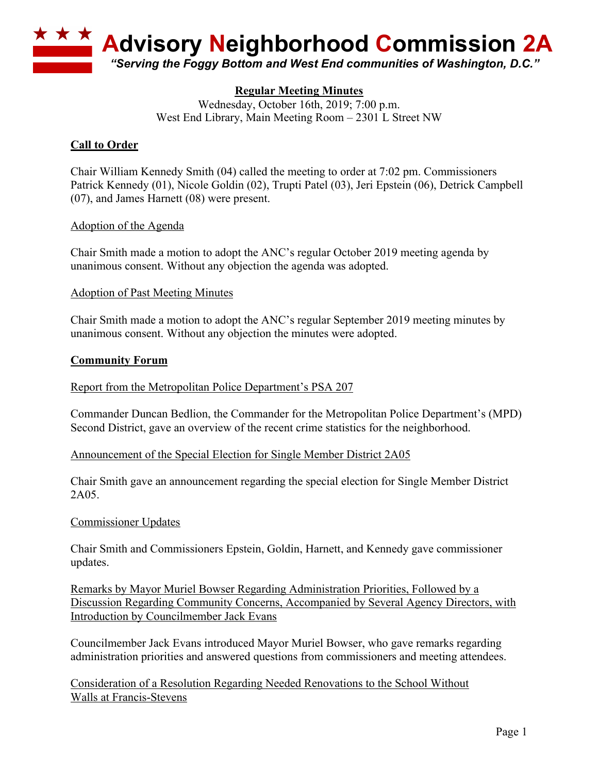

# **Regular Meeting Minutes**

Wednesday, October 16th, 2019; 7:00 p.m. West End Library, Main Meeting Room – 2301 L Street NW

### **Call to Order**

Chair William Kennedy Smith (04) called the meeting to order at 7:02 pm. Commissioners Patrick Kennedy (01), Nicole Goldin (02), Trupti Patel (03), Jeri Epstein (06), Detrick Campbell (07), and James Harnett (08) were present.

#### Adoption of the Agenda

Chair Smith made a motion to adopt the ANC's regular October 2019 meeting agenda by unanimous consent. Without any objection the agenda was adopted.

#### Adoption of Past Meeting Minutes

Chair Smith made a motion to adopt the ANC's regular September 2019 meeting minutes by unanimous consent. Without any objection the minutes were adopted.

#### **Community Forum**

#### Report from the Metropolitan Police Department's PSA 207

Commander Duncan Bedlion, the Commander for the Metropolitan Police Department's (MPD) Second District, gave an overview of the recent crime statistics for the neighborhood.

#### Announcement of the Special Election for Single Member District 2A05

Chair Smith gave an announcement regarding the special election for Single Member District 2A05.

#### Commissioner Updates

Chair Smith and Commissioners Epstein, Goldin, Harnett, and Kennedy gave commissioner updates.

Remarks by Mayor Muriel Bowser Regarding Administration Priorities, Followed by a Discussion Regarding Community Concerns, Accompanied by Several Agency Directors, with Introduction by Councilmember Jack Evans

Councilmember Jack Evans introduced Mayor Muriel Bowser, who gave remarks regarding administration priorities and answered questions from commissioners and meeting attendees.

Consideration of a Resolution Regarding Needed Renovations to the School Without Walls at Francis-Stevens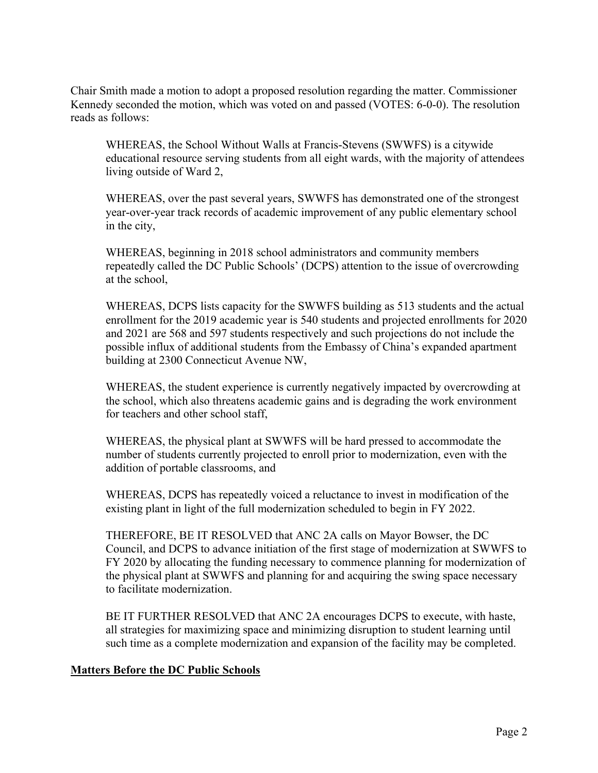Chair Smith made a motion to adopt a proposed resolution regarding the matter. Commissioner Kennedy seconded the motion, which was voted on and passed (VOTES: 6-0-0). The resolution reads as follows:

WHEREAS, the School Without Walls at Francis-Stevens (SWWFS) is a citywide educational resource serving students from all eight wards, with the majority of attendees living outside of Ward 2,

WHEREAS, over the past several years, SWWFS has demonstrated one of the strongest year-over-year track records of academic improvement of any public elementary school in the city,

WHEREAS, beginning in 2018 school administrators and community members repeatedly called the DC Public Schools' (DCPS) attention to the issue of overcrowding at the school,

WHEREAS, DCPS lists capacity for the SWWFS building as 513 students and the actual enrollment for the 2019 academic year is 540 students and projected enrollments for 2020 and 2021 are 568 and 597 students respectively and such projections do not include the possible influx of additional students from the Embassy of China's expanded apartment building at 2300 Connecticut Avenue NW,

WHEREAS, the student experience is currently negatively impacted by overcrowding at the school, which also threatens academic gains and is degrading the work environment for teachers and other school staff,

WHEREAS, the physical plant at SWWFS will be hard pressed to accommodate the number of students currently projected to enroll prior to modernization, even with the addition of portable classrooms, and

WHEREAS, DCPS has repeatedly voiced a reluctance to invest in modification of the existing plant in light of the full modernization scheduled to begin in FY 2022.

THEREFORE, BE IT RESOLVED that ANC 2A calls on Mayor Bowser, the DC Council, and DCPS to advance initiation of the first stage of modernization at SWWFS to FY 2020 by allocating the funding necessary to commence planning for modernization of the physical plant at SWWFS and planning for and acquiring the swing space necessary to facilitate modernization.

BE IT FURTHER RESOLVED that ANC 2A encourages DCPS to execute, with haste, all strategies for maximizing space and minimizing disruption to student learning until such time as a complete modernization and expansion of the facility may be completed.

# **Matters Before the DC Public Schools**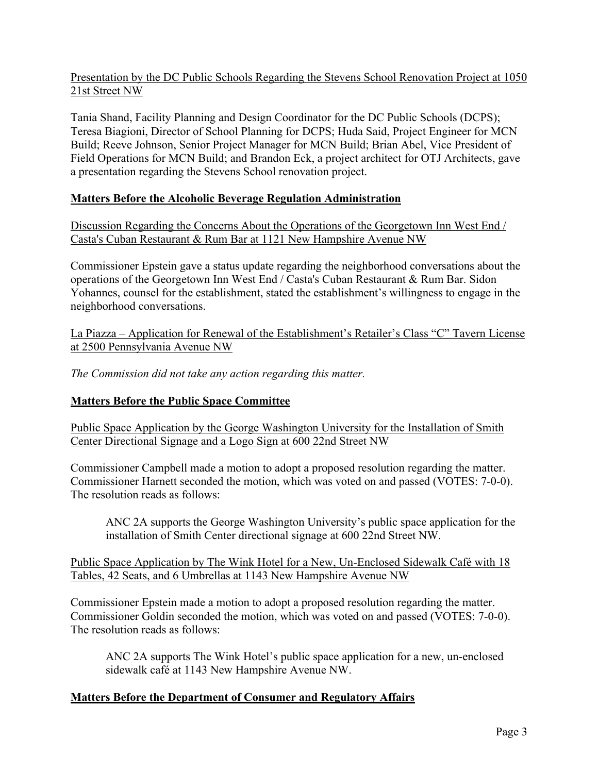Presentation by the DC Public Schools Regarding the Stevens School Renovation Project at 1050 21st Street NW

Tania Shand, Facility Planning and Design Coordinator for the DC Public Schools (DCPS); Teresa Biagioni, Director of School Planning for DCPS; Huda Said, Project Engineer for MCN Build; Reeve Johnson, Senior Project Manager for MCN Build; Brian Abel, Vice President of Field Operations for MCN Build; and Brandon Eck, a project architect for OTJ Architects, gave a presentation regarding the Stevens School renovation project.

# **Matters Before the Alcoholic Beverage Regulation Administration**

Discussion Regarding the Concerns About the Operations of the Georgetown Inn West End / Casta's Cuban Restaurant & Rum Bar at 1121 New Hampshire Avenue NW

Commissioner Epstein gave a status update regarding the neighborhood conversations about the operations of the Georgetown Inn West End / Casta's Cuban Restaurant & Rum Bar. Sidon Yohannes, counsel for the establishment, stated the establishment's willingness to engage in the neighborhood conversations.

La Piazza – Application for Renewal of the Establishment's Retailer's Class "C" Tavern License at 2500 Pennsylvania Avenue NW

*The Commission did not take any action regarding this matter.*

#### **Matters Before the Public Space Committee**

Public Space Application by the George Washington University for the Installation of Smith Center Directional Signage and a Logo Sign at 600 22nd Street NW

Commissioner Campbell made a motion to adopt a proposed resolution regarding the matter. Commissioner Harnett seconded the motion, which was voted on and passed (VOTES: 7-0-0). The resolution reads as follows:

ANC 2A supports the George Washington University's public space application for the installation of Smith Center directional signage at 600 22nd Street NW.

Public Space Application by The Wink Hotel for a New, Un-Enclosed Sidewalk Café with 18 Tables, 42 Seats, and 6 Umbrellas at 1143 New Hampshire Avenue NW

Commissioner Epstein made a motion to adopt a proposed resolution regarding the matter. Commissioner Goldin seconded the motion, which was voted on and passed (VOTES: 7-0-0). The resolution reads as follows:

ANC 2A supports The Wink Hotel's public space application for a new, un-enclosed sidewalk café at 1143 New Hampshire Avenue NW.

#### **Matters Before the Department of Consumer and Regulatory Affairs**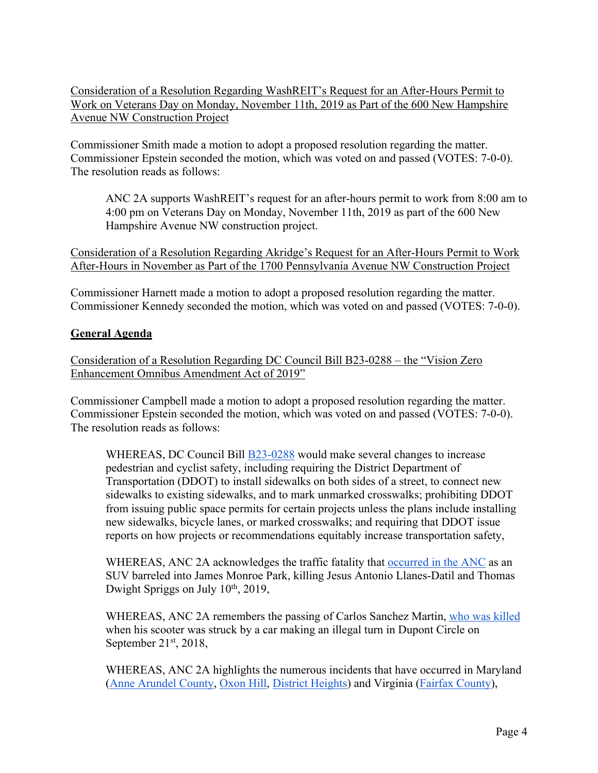Consideration of a Resolution Regarding WashREIT's Request for an After-Hours Permit to Work on Veterans Day on Monday, November 11th, 2019 as Part of the 600 New Hampshire Avenue NW Construction Project

Commissioner Smith made a motion to adopt a proposed resolution regarding the matter. Commissioner Epstein seconded the motion, which was voted on and passed (VOTES: 7-0-0). The resolution reads as follows:

ANC 2A supports WashREIT's request for an after-hours permit to work from 8:00 am to 4:00 pm on Veterans Day on Monday, November 11th, 2019 as part of the 600 New Hampshire Avenue NW construction project.

Consideration of a Resolution Regarding Akridge's Request for an After-Hours Permit to Work After-Hours in November as Part of the 1700 Pennsylvania Avenue NW Construction Project

Commissioner Harnett made a motion to adopt a proposed resolution regarding the matter. Commissioner Kennedy seconded the motion, which was voted on and passed (VOTES: 7-0-0).

# **General Agenda**

Consideration of a Resolution Regarding DC Council Bill B23-0288 – the "Vision Zero Enhancement Omnibus Amendment Act of 2019"

Commissioner Campbell made a motion to adopt a proposed resolution regarding the matter. Commissioner Epstein seconded the motion, which was voted on and passed (VOTES: 7-0-0). The resolution reads as follows:

WHEREAS, DC Council Bill **B23-0288** would make several changes to increase pedestrian and cyclist safety, including requiring the District Department of Transportation (DDOT) to install sidewalks on both sides of a street, to connect new sidewalks to existing sidewalks, and to mark unmarked crosswalks; prohibiting DDOT from issuing public space permits for certain projects unless the plans include installing new sidewalks, bicycle lanes, or marked crosswalks; and requiring that DDOT issue reports on how projects or recommendations equitably increase transportation safety,

WHEREAS, ANC 2A acknowledges the traffic fatality that occurred in the ANC as an SUV barreled into James Monroe Park, killing Jesus Antonio Llanes-Datil and Thomas Dwight Spriggs on July 10th, 2019,

WHEREAS, ANC 2A remembers the passing of Carlos Sanchez Martin, who was killed when his scooter was struck by a car making an illegal turn in Dupont Circle on September  $21<sup>st</sup>$ ,  $2018$ ,

WHEREAS, ANC 2A highlights the numerous incidents that have occurred in Maryland (Anne Arundel County, Oxon Hill, District Heights) and Virginia (Fairfax County),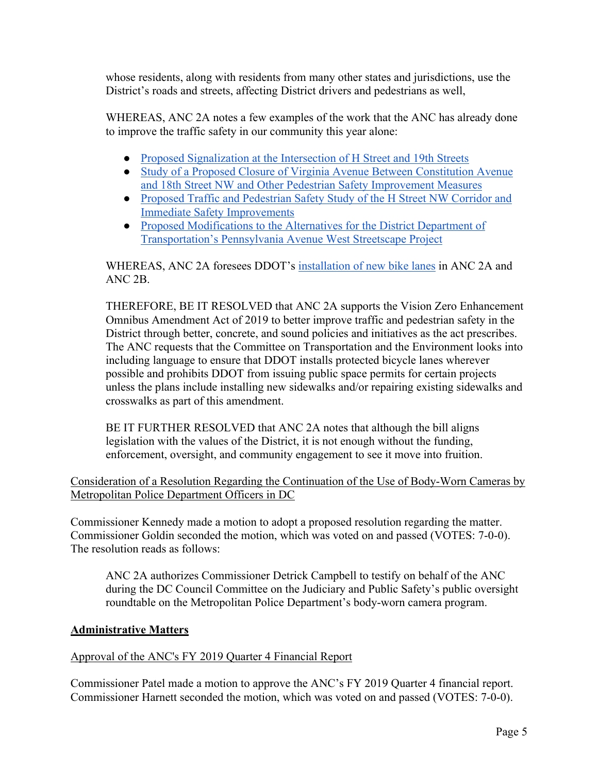whose residents, along with residents from many other states and jurisdictions, use the District's roads and streets, affecting District drivers and pedestrians as well,

WHEREAS, ANC 2A notes a few examples of the work that the ANC has already done to improve the traffic safety in our community this year alone:

- Proposed Signalization at the Intersection of H Street and 19th Streets
- Study of a Proposed Closure of Virginia Avenue Between Constitution Avenue and 18th Street NW and Other Pedestrian Safety Improvement Measures
- Proposed Traffic and Pedestrian Safety Study of the H Street NW Corridor and Immediate Safety Improvements
- Proposed Modifications to the Alternatives for the District Department of Transportation's Pennsylvania Avenue West Streetscape Project

WHEREAS, ANC 2A foresees DDOT's installation of new bike lanes in ANC 2A and ANC 2B.

THEREFORE, BE IT RESOLVED that ANC 2A supports the Vision Zero Enhancement Omnibus Amendment Act of 2019 to better improve traffic and pedestrian safety in the District through better, concrete, and sound policies and initiatives as the act prescribes. The ANC requests that the Committee on Transportation and the Environment looks into including language to ensure that DDOT installs protected bicycle lanes wherever possible and prohibits DDOT from issuing public space permits for certain projects unless the plans include installing new sidewalks and/or repairing existing sidewalks and crosswalks as part of this amendment.

BE IT FURTHER RESOLVED that ANC 2A notes that although the bill aligns legislation with the values of the District, it is not enough without the funding, enforcement, oversight, and community engagement to see it move into fruition.

Consideration of a Resolution Regarding the Continuation of the Use of Body-Worn Cameras by Metropolitan Police Department Officers in DC

Commissioner Kennedy made a motion to adopt a proposed resolution regarding the matter. Commissioner Goldin seconded the motion, which was voted on and passed (VOTES: 7-0-0). The resolution reads as follows:

ANC 2A authorizes Commissioner Detrick Campbell to testify on behalf of the ANC during the DC Council Committee on the Judiciary and Public Safety's public oversight roundtable on the Metropolitan Police Department's body-worn camera program.

# **Administrative Matters**

#### Approval of the ANC's FY 2019 Quarter 4 Financial Report

Commissioner Patel made a motion to approve the ANC's FY 2019 Quarter 4 financial report. Commissioner Harnett seconded the motion, which was voted on and passed (VOTES: 7-0-0).